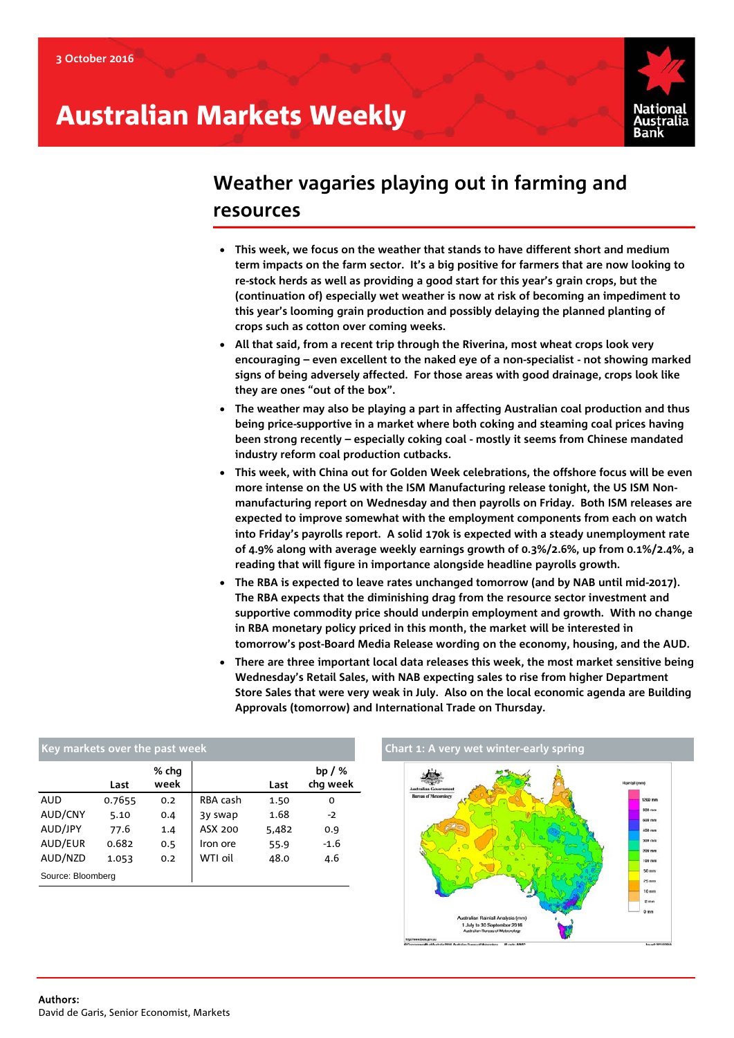# Australian Markets Weekly



## **Weather vagaries playing out in farming and resources**

- **This week, we focus on the weather that stands to have different short and medium term impacts on the farm sector. It's a big positive for farmers that are now looking to re-stock herds as well as providing a good start for this year's grain crops, but the (continuation of) especially wet weather is now at risk of becoming an impediment to this year's looming grain production and possibly delaying the planned planting of crops such as cotton over coming weeks.**
- **All that said, from a recent trip through the Riverina, most wheat crops look very encouraging – even excellent to the naked eye of a non-specialist - not showing marked signs of being adversely affected. For those areas with good drainage, crops look like they are ones "out of the box".**
- **The weather may also be playing a part in affecting Australian coal production and thus being price-supportive in a market where both coking and steaming coal prices having been strong recently – especially coking coal - mostly it seems from Chinese mandated industry reform coal production cutbacks.**
- **This week, with China out for Golden Week celebrations, the offshore focus will be even more intense on the US with the ISM Manufacturing release tonight, the US ISM Nonmanufacturing report on Wednesday and then payrolls on Friday. Both ISM releases are expected to improve somewhat with the employment components from each on watch into Friday's payrolls report. A solid 170k is expected with a steady unemployment rate of 4.9% along with average weekly earnings growth of 0.3%/2.6%, up from 0.1%/2.4%, a reading that will figure in importance alongside headline payrolls growth.**
- **The RBA is expected to leave rates unchanged tomorrow (and by NAB until mid-2017). The RBA expects that the diminishing drag from the resource sector investment and supportive commodity price should underpin employment and growth. With no change in RBA monetary policy priced in this month, the market will be interested in tomorrow's post-Board Media Release wording on the economy, housing, and the AUD.**
- **There are three important local data releases this week, the most market sensitive being Wednesday's Retail Sales, with NAB expecting sales to rise from higher Department Store Sales that were very weak in July. Also on the local economic agenda are Building Approvals (tomorrow) and International Trade on Thursday.**

|                   | Last   | % chq<br>week |          | Last  | bp $/$ %<br>chq week |
|-------------------|--------|---------------|----------|-------|----------------------|
| AUD               | 0.7655 | 0.2           | RBA cash | 1.50  | o                    |
| AUD/CNY           | 5.10   | 0.4           | 3y swap  | 1.68  | $-2$                 |
| AUD/JPY           | 77.6   | 1.4           | ASX 200  | 5,482 | 0.9                  |
| AUD/EUR           | 0.682  | 0.5           | Iron ore | 55.9  | $-1.6$               |
| AUD/NZD           | 1.053  | 0.2           | WTI oil  | 48.0  | 4.6                  |
| Source: Bloomberg |        |               |          |       |                      |

**Khart 1: A very wet winter-early spring** 

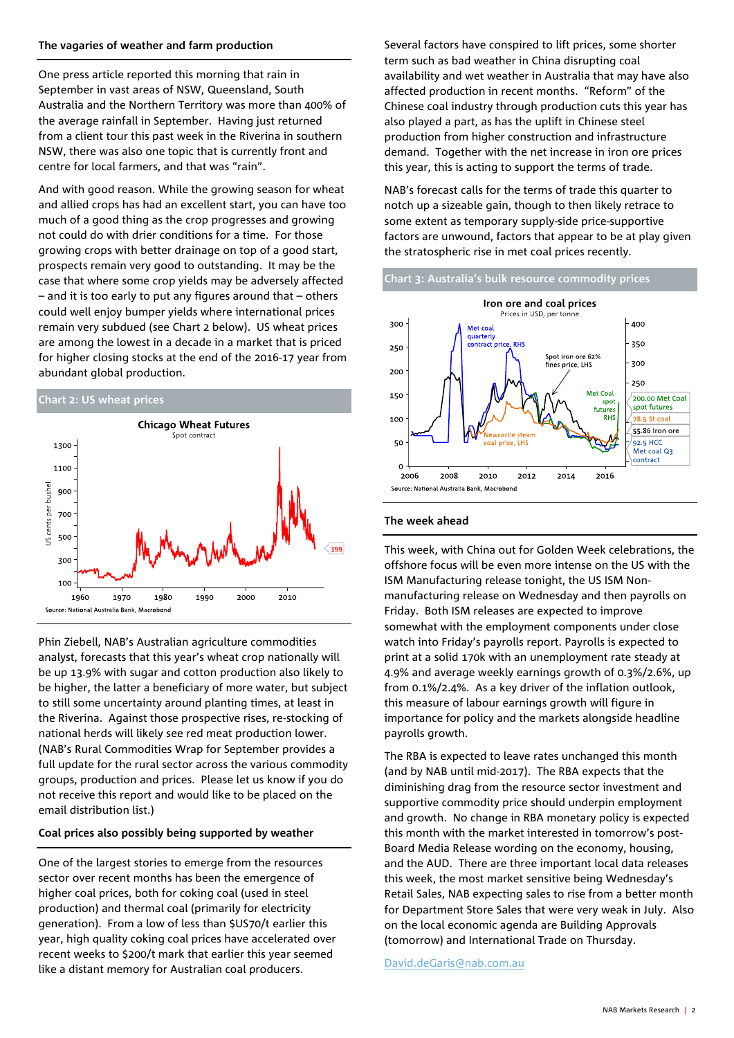One press article reported this morning that rain in September in vast areas of NSW, Queensland, South Australia and the Northern Territory was more than 400% of the average rainfall in September. Having just returned from a client tour this past week in the Riverina in southern NSW, there was also one topic that is currently front and centre for local farmers, and that was "rain".

And with good reason. While the growing season for wheat and allied crops has had an excellent start, you can have too much of a good thing as the crop progresses and growing not could do with drier conditions for a time. For those growing crops with better drainage on top of a good start, prospects remain very good to outstanding. It may be the case that where some crop yields may be adversely affected – and it is too early to put any figures around that – others could well enjoy bumper yields where international prices remain very subdued (see Chart 2 below). US wheat prices are among the lowest in a decade in a market that is priced for higher closing stocks at the end of the 2016-17 year from abundant global production.

#### **Chart 2: US wheat prices**



Phin Ziebell, NAB's Australian agriculture commodities analyst, forecasts that this year's wheat crop nationally will be up 13.9% with sugar and cotton production also likely to be higher, the latter a beneficiary of more water, but subject to still some uncertainty around planting times, at least in the Riverina. Against those prospective rises, re-stocking of national herds will likely see red meat production lower. (NAB's Rural Commodities Wrap for September provides a full update for the rural sector across the various commodity groups, production and prices. Please let us know if you do not receive this report and would like to be placed on the email distribution list.)

#### **Coal prices also possibly being supported by weather**

One of the largest stories to emerge from the resources sector over recent months has been the emergence of higher coal prices, both for coking coal (used in steel production) and thermal coal (primarily for electricity generation). From a low of less than \$US70/t earlier this year, high quality coking coal prices have accelerated over recent weeks to \$200/t mark that earlier this year seemed like a distant memory for Australian coal producers.

Several factors have conspired to lift prices, some shorter term such as bad weather in China disrupting coal availability and wet weather in Australia that may have also affected production in recent months. "Reform" of the Chinese coal industry through production cuts this year has also played a part, as has the uplift in Chinese steel production from higher construction and infrastructure demand. Together with the net increase in iron ore prices this year, this is acting to support the terms of trade.

NAB's forecast calls for the terms of trade this quarter to notch up a sizeable gain, though to then likely retrace to some extent as temporary supply-side price-supportive factors are unwound, factors that appear to be at play given the stratospheric rise in met coal prices recently.



#### **The week ahead**

This week, with China out for Golden Week celebrations, the offshore focus will be even more intense on the US with the ISM Manufacturing release tonight, the US ISM Nonmanufacturing release on Wednesday and then payrolls on Friday. Both ISM releases are expected to improve somewhat with the employment components under close watch into Friday's payrolls report. Payrolls is expected to print at a solid 170k with an unemployment rate steady at 4.9% and average weekly earnings growth of 0.3%/2.6%, up from 0.1%/2.4%. As a key driver of the inflation outlook, this measure of labour earnings growth will figure in importance for policy and the markets alongside headline payrolls growth.

The RBA is expected to leave rates unchanged this month (and by NAB until mid-2017). The RBA expects that the diminishing drag from the resource sector investment and supportive commodity price should underpin employment and growth. No change in RBA monetary policy is expected this month with the market interested in tomorrow's post-Board Media Release wording on the economy, housing, and the AUD. There are three important local data releases this week, the most market sensitive being Wednesday's Retail Sales, NAB expecting sales to rise from a better month for Department Store Sales that were very weak in July. Also on the local economic agenda are Building Approvals (tomorrow) and International Trade on Thursday.

[David.deGaris@nab.com.au](mailto:David.deGaris@nab.com.au)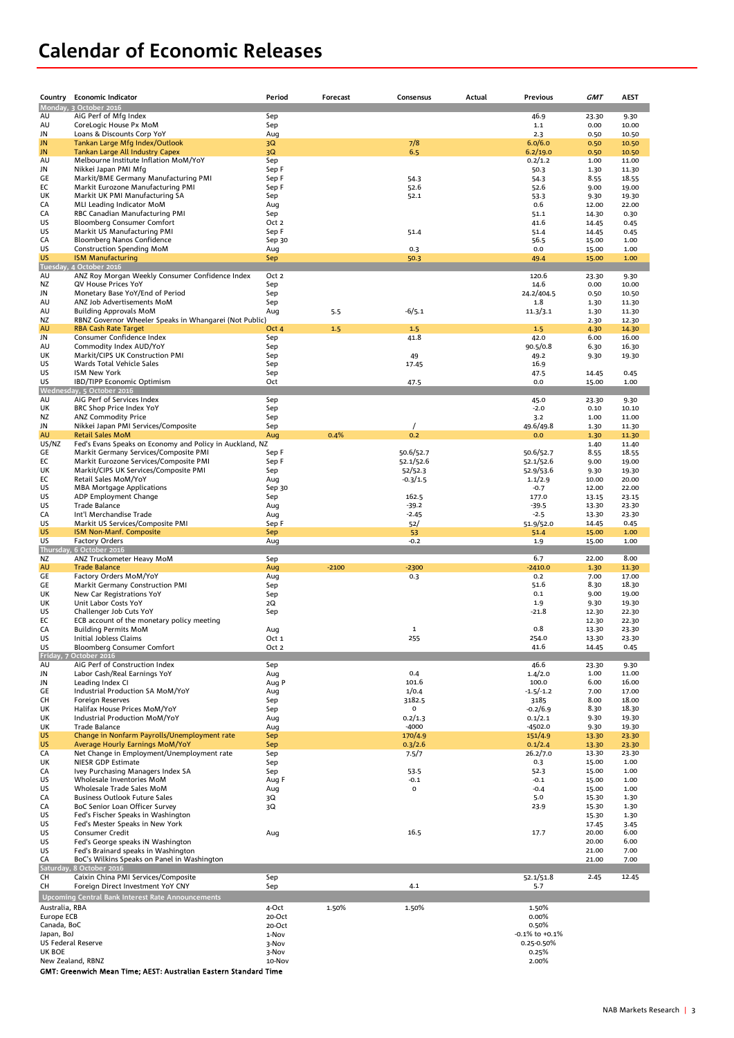## **Calendar of Economic Releases**

| Country                          | <b>Economic Indicator</b>                                                               | Period         | Forecast | Consensus              | Actual | Previous               | <b>GMT</b>     | AEST           |
|----------------------------------|-----------------------------------------------------------------------------------------|----------------|----------|------------------------|--------|------------------------|----------------|----------------|
|                                  | Monday, 3 October 2016                                                                  |                |          |                        |        |                        |                |                |
| AU<br>AU                         | AiG Perf of Mfg Index                                                                   | Sep            |          |                        |        | 46.9                   | 23.30          | 9.30           |
| JN                               | CoreLogic House Px MoM<br>Loans & Discounts Corp YoY                                    | Sep<br>Aug     |          |                        |        | $1.1\,$<br>2.3         | 0.00<br>0.50   | 10.00<br>10.50 |
| JN                               | Tankan Large Mfg Index/Outlook                                                          | 3Q             |          | 7/8                    |        | 6.0/6.0                | 0.50           | 10.50          |
| JN                               | Tankan Large All Industry Capex                                                         | 3Q             |          | 6.5                    |        | 6.2/19.0               | 0.50           | 10.50          |
| AU                               | Melbourne Institute Inflation MoM/YoY                                                   | Sep            |          |                        |        | 0.2/1.2                | 1.00           | 11.00          |
| JN                               | Nikkei Japan PMI Mfg                                                                    | Sep F          |          |                        |        | 50.3                   | 1.30           | 11.30          |
| GE<br>EC                         | Markit/BME Germany Manufacturing PMI<br>Markit Eurozone Manufacturing PMI               | Sep F<br>Sep F |          | 54.3<br>52.6           |        | 54.3<br>52.6           | 8.55<br>9.00   | 18.55<br>19.00 |
| UK                               | Markit UK PMI Manufacturing SA                                                          | Sep            |          | 52.1                   |        | 53.3                   | 9.30           | 19.30          |
| CA                               | MLI Leading Indicator MoM                                                               | Aug            |          |                        |        | 0.6                    | 12.00          | 22.00          |
| CA                               | RBC Canadian Manufacturing PMI                                                          | Sep            |          |                        |        | 51.1                   | 14.30          | 0.30           |
| US                               | <b>Bloomberg Consumer Comfort</b>                                                       | Oct 2          |          |                        |        | 41.6                   | 14.45          | 0.45           |
| US                               | Markit US Manufacturing PMI                                                             | Sep F          |          | 51.4                   |        | 51.4                   | 14.45          | 0.45           |
| CA<br>US                         | Bloomberg Nanos Confidence                                                              | Sep 30         |          |                        |        | 56.5<br>0.0            | 15.00          | 1.00           |
| <b>US</b>                        | Construction Spending MoM<br><b>ISM Manufacturing</b>                                   | Aug<br>Sep     |          | 0.3<br>50.3            |        | 49.4                   | 15.00<br>15.00 | 1.00<br>1.00   |
|                                  | Tuesday, 4 October 2016                                                                 |                |          |                        |        |                        |                |                |
| AU                               | ANZ Roy Morgan Weekly Consumer Confidence Index                                         | Oct 2          |          |                        |        | 120.6                  | 23.30          | 9.30           |
| ΝZ                               | QV House Prices YoY                                                                     | Sep            |          |                        |        | 14.6                   | 0.00           | 10.00          |
| JN                               | Monetary Base YoY/End of Period                                                         | Sep            |          |                        |        | 24.2/404.5             | 0.50           | 10.50          |
| AU                               | ANZ Job Advertisements MoM                                                              | Sep            |          |                        |        | 1.8                    | 1.30           | 11.30          |
| AU<br>NZ                         | <b>Building Approvals MoM</b><br>RBNZ Governor Wheeler Speaks in Whangarei (Not Public) | Aug            | 5.5      | $-6/5.1$               |        | 11.3/3.1               | 1.30<br>2.30   | 11.30<br>12.30 |
| AU                               | <b>RBA Cash Rate Target</b>                                                             | Oct 4          | 1.5      | 1.5                    |        | 1.5                    | 4.30           | 14.30          |
| JN                               | Consumer Confidence Index                                                               | Sep            |          | 41.8                   |        | 42.0                   | 6.00           | 16.00          |
| AU                               | Commodity Index AUD/YoY                                                                 | Sep            |          |                        |        | 90.5/0.8               | 6.30           | 16.30          |
| UK                               | Markit/CIPS UK Construction PMI                                                         | Sep            |          | 49                     |        | 49.2                   | 9.30           | 19.30          |
| US                               | Wards Total Vehicle Sales                                                               | Sep            |          | 17.45                  |        | 16.9                   |                |                |
| US<br>US                         | <b>ISM New York</b><br>IBD/TIPP Economic Optimism                                       | Sep<br>Oct     |          |                        |        | 47.5                   | 14.45          | 0.45           |
|                                  | Wednesday, 5 October 2016                                                               |                |          | 47.5                   |        | 0.0                    | 15.00          | 1.00           |
| AU                               | AiG Perf of Services Index                                                              | Sep            |          |                        |        | 45.0                   | 23.30          | 9.30           |
| UK                               | BRC Shop Price Index YoY                                                                | Sep            |          |                        |        | $-2.0$                 | 0.10           | 10.10          |
| ΝZ                               | <b>ANZ Commodity Price</b>                                                              | Sep            |          |                        |        | 3.2                    | 1.00           | 11.00          |
| JN                               | Nikkei Japan PMI Services/Composite                                                     | Sep            |          |                        |        | 49.6/49.8              | 1.30           | 11.30          |
| AU                               | <b>Retail Sales MoM</b>                                                                 | Aug            | 0.4%     | 0.2                    |        | 0.0                    | 1.30           | 11.30          |
| US/NZ                            | Fed's Evans Speaks on Economy and Policy in Auckland, NZ                                |                |          |                        |        |                        | 1.40           | 11.40          |
| GE<br>EC                         | Markit Germany Services/Composite PMI<br>Markit Eurozone Services/Composite PMI         | Sep F<br>Sep F |          | 50.6/52.7<br>52.1/52.6 |        | 50.6/52.7<br>52.1/52.6 | 8.55<br>9.00   | 18.55<br>19.00 |
| UK                               | Markit/CIPS UK Services/Composite PMI                                                   | Sep            |          | 52/52.3                |        | 52.9/53.6              | 9.30           | 19.30          |
| EC                               | Retail Sales MoM/YoY                                                                    | Aug            |          | $-0.3/1.5$             |        | 1.1/2.9                | 10.00          | 20.00          |
| US                               | <b>MBA Mortgage Applications</b>                                                        | Sep 30         |          |                        |        | $-0.7$                 | 12.00          | 22.00          |
| US                               | ADP Employment Change                                                                   | Sep            |          | 162.5                  |        | 177.0                  | 13.15          | 23.15          |
| US                               | Trade Balance                                                                           | Aug            |          | $-39.2$                |        | $-39.5$                | 13.30          | 23.30          |
| CA                               | Int'l Merchandise Trade                                                                 | Aug            |          | $-2.45$                |        | $-2.5$                 | 13.30          | 23.30          |
| US<br><b>US</b>                  | Markit US Services/Composite PMI<br>ISM Non-Manf. Composite                             | Sep F<br>Sep   |          | 52/<br>53              |        | 51.9/52.0<br>51.4      | 14.45<br>15.00 | 0.45<br>1.00   |
| US                               | <b>Factory Orders</b>                                                                   | Aug            |          | $-0.2$                 |        | 1.9                    | 15.00          | 1.00           |
|                                  | Thursday, 6 October 2016                                                                |                |          |                        |        |                        |                |                |
| ΝZ                               | ANZ Truckometer Heavy MoM                                                               | Sep            |          |                        |        | 6.7                    | 22.00          | 8.00           |
| AU                               | <b>Trade Balance</b>                                                                    | Aug            | $-2100$  | $-2300$                |        | $-2410.0$              | 1.30           | 11.30          |
| GE                               | Factory Orders MoM/YoY                                                                  | Aug            |          | 0.3                    |        | 0.2                    | 7.00           | 17.00          |
| GE<br>UK                         | Markit Germany Construction PMI<br>New Car Registrations YoY                            | Sep<br>Sep     |          |                        |        | 51.6<br>0.1            | 8.30<br>9.00   | 18.30<br>19.00 |
| UK                               | Unit Labor Costs YoY                                                                    | 2Q             |          |                        |        | 1.9                    | 9.30           | 19.30          |
| US                               | Challenger Job Cuts YoY                                                                 | Sep            |          |                        |        | $-21.8$                | 12.30          | 22.30          |
| EC                               | ECB account of the monetary policy meeting                                              |                |          |                        |        |                        | 12.30          | 22.30          |
| CA                               | <b>Building Permits MoM</b>                                                             | Aug            |          | 1                      |        | 0.8                    | 13.30          | 23.30          |
| US                               | Initial Jobless Claims                                                                  | Oct 1          |          | 255                    |        | 254.0                  | 13.30          | 23.30          |
| US<br>Friday,                    | Bloomberg Consumer Comfort<br>October 2016                                              | Oct 2          |          |                        |        | 41.6                   | 14.45          | 0.45           |
| AU                               | AiG Perf of Construction Index                                                          | Sep            |          |                        |        | 46.6                   | 23.30          | 9.30           |
| JN                               | Labor Cash/Real Earnings YoY                                                            | Aug            |          | 0.4                    |        | 1.4/2.0                | 1.00           | 11.00          |
| JN                               | Leading Index CI                                                                        | Aug P          |          | 101.6                  |        | 100.0                  | 6.00           | 16.00          |
| GE                               | Industrial Production SA MoM/YoY                                                        | Aug            |          | 1/0.4                  |        | $-1.5/-1.2$            | 7.00           | 17.00          |
| CH                               | Foreign Reserves                                                                        | Sep            |          | 3182.5                 |        | 3185                   | 8.00           | 18.00          |
| UK<br>UK                         | Halifax House Prices MoM/YoY                                                            | Sep            |          | $\mathsf{o}\,$         |        | $-0.2/6.9$             | 8.30           | 18.30          |
| UK                               | Industrial Production MoM/YoY<br><b>Trade Balance</b>                                   | Aug<br>Aug     |          | 0.2/1.3<br>$-4000$     |        | 0.1/2.1<br>-4502.0     | 9.30<br>9.30   | 19.30<br>19.30 |
| US                               | Change in Nonfarm Payrolls/Unemployment rate                                            | Sep            |          | 170/4.9                |        | 151/4.9                | 13.30          | 23.30          |
| <b>US</b>                        | Average Hourly Earnings MoM/YoY                                                         | Sep            |          | 0.3/2.6                |        | 0.1/2.4                | 13.30          | 23.30          |
| CA                               | Net Change in Employment/Unemployment rate                                              | Sep            |          | 7.5/7                  |        | 26.2/7.0               | 13.30          | 23.30          |
| UK                               | <b>NIESR GDP Estimate</b>                                                               | Sep            |          |                        |        | 0.3                    | 15.00          | 1.00           |
| CA                               | Ivey Purchasing Managers Index SA                                                       | Sep            |          | 53.5                   |        | 52.3                   | 15.00          | 1.00           |
| US<br>US                         | Wholesale Inventories MoM<br>Wholesale Trade Sales MoM                                  | Aug F<br>Aug   |          | $-0.1$<br>0            |        | $-0.1$<br>$-0.4$       | 15.00<br>15.00 | 1.00<br>1.00   |
| CA                               | <b>Business Outlook Future Sales</b>                                                    | 3Q             |          |                        |        | 5.0                    | 15.30          | 1.30           |
| CA                               | BoC Senior Loan Officer Survey                                                          | 3Q             |          |                        |        | 23.9                   | 15.30          | 1.30           |
| US                               | Fed's Fischer Speaks in Washington                                                      |                |          |                        |        |                        | 15.30          | 1.30           |
| US                               | Fed's Mester Speaks in New York                                                         |                |          |                        |        |                        | 17.45          | 3.45           |
| US                               | Consumer Credit                                                                         | Aug            |          | 16.5                   |        | 17.7                   | 20.00          | 6.00           |
| US<br>US                         | Fed's George speaks iN Washington<br>Fed's Brainard speaks in Washington                |                |          |                        |        |                        | 20.00<br>21.00 | 6.00<br>7.00   |
| CA                               | BoC's Wilkins Speaks on Panel in Washington                                             |                |          |                        |        |                        | 21.00          | 7.00           |
|                                  | Saturday, 8 October 2016                                                                |                |          |                        |        |                        |                |                |
| CH                               | Caixin China PMI Services/Composite                                                     | Sep            |          |                        |        | 52.1/51.8              | 2.45           | 12.45          |
| CH                               | Foreign Direct Investment YoY CNY                                                       | Sep            |          | 4.1                    |        | 5.7                    |                |                |
|                                  | Upcoming Central Bank Interest Rate Announcements                                       |                |          |                        |        |                        |                |                |
| Australia, RBA                   |                                                                                         | 4-Oct          | 1.50%    | 1.50%                  |        | 1.50%                  |                |                |
| Europe ECB                       |                                                                                         | 20-Oct         |          |                        |        | 0.00%                  |                |                |
| Canada, BoC                      |                                                                                         | 20-Oct         |          |                        |        | 0.50%                  |                |                |
| Japan, BoJ<br>US Federal Reserve |                                                                                         | 1-Nov          |          |                        |        | $-0.1\%$ to $+0.1\%$   |                |                |
| UK BOE                           |                                                                                         | 3-Nov<br>3-Nov |          |                        |        | 0.25-0.50%<br>0.25%    |                |                |
| New Zealand, RBNZ                |                                                                                         | 10-Nov         |          |                        |        | 2.00%                  |                |                |
|                                  | GMT: Greenwich Mean Time; AEST: Australian Eastern Standard Time                        |                |          |                        |        |                        |                |                |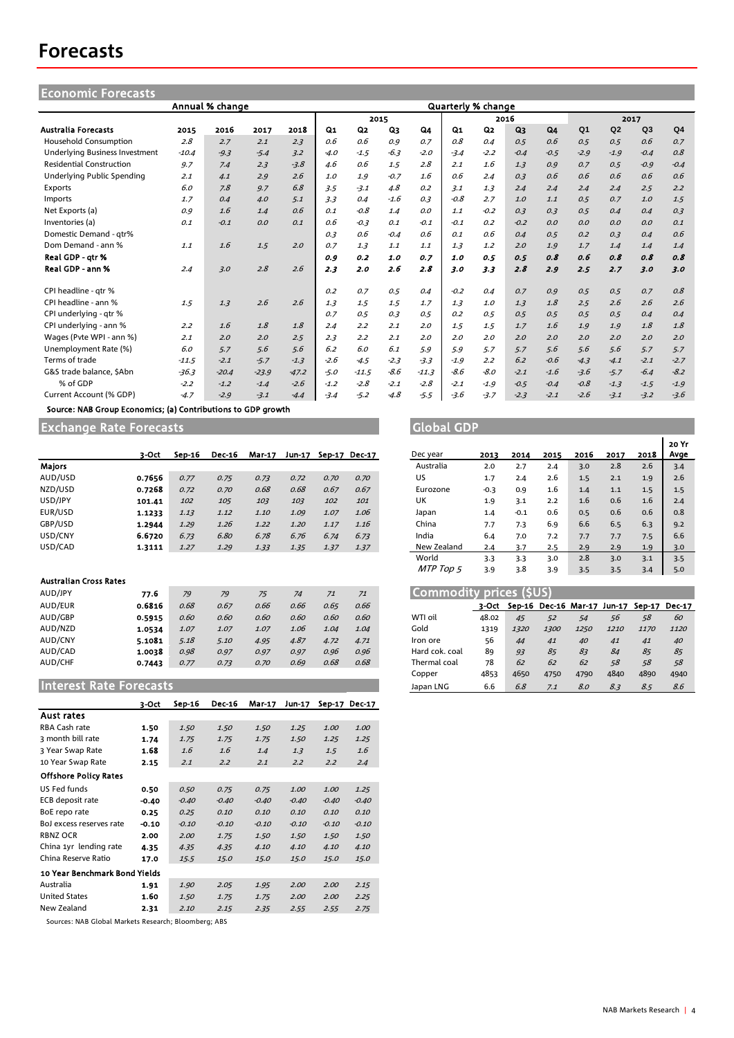### **Forecasts**

| <b>Economic Forecasts</b>             |                 |         |         |         |                |         |                           |         |        |                |        |        |                |                |                |                |
|---------------------------------------|-----------------|---------|---------|---------|----------------|---------|---------------------------|---------|--------|----------------|--------|--------|----------------|----------------|----------------|----------------|
|                                       | Annual % change |         |         |         |                |         | <b>Quarterly % change</b> |         |        |                |        |        |                |                |                |                |
|                                       |                 |         |         |         | 2015           |         |                           |         | 2016   |                |        |        | 2017           |                |                |                |
| <b>Australia Forecasts</b>            | 2015            | 2016    | 2017    | 2018    | Q <sub>1</sub> | Q2      | Q3                        | Q4      | Q1     | Q <sub>2</sub> | Q3     | Q4     | Q <sub>1</sub> | Q <sub>2</sub> | Q <sub>3</sub> | Q <sub>4</sub> |
| <b>Household Consumption</b>          | 2.8             | 2.7     | 2.1     | 2.3     | 0.6            | 0.6     | 0.9                       | 0.7     | 0.8    | 0.4            | 0.5    | 0.6    | 0.5            | 0.5            | 0.6            | 0.7            |
| <b>Underlying Business Investment</b> | $-10.4$         | $-9.3$  | $-5.4$  | 3.2     | $-4.0$         | $-1.5$  | $-6.3$                    | $-2.0$  | $-3.4$ | $-2.2$         | $-0.4$ | $-0.5$ | $-2.9$         | $-1.9$         | $-0.4$         | 0.8            |
| <b>Residential Construction</b>       | 9.7             | 7.4     | 2.3     | $-3.8$  | 4.6            | 0.6     | 1.5                       | 2.8     | 2.1    | 1.6            | 1.3    | 0.9    | 0.7            | 0.5            | $-0.9$         | $-0.4$         |
| Underlying Public Spending            | 2.1             | 4.1     | 2.9     | 2.6     | 1.0            | 1.9     | $-0.7$                    | 1.6     | 0.6    | 2.4            | 0.3    | 0.6    | 0.6            | 0.6            | 0.6            | 0.6            |
| Exports                               | 6.0             | 7.8     | 9.7     | 6.8     | 3.5            | $-3.1$  | 4.8                       | 0.2     | 3.1    | 1.3            | 2.4    | 2.4    | 2.4            | 2.4            | 2.5            | 2.2            |
| Imports                               | 1.7             | 0.4     | 4.0     | 5.1     | 3.3            | 0.4     | $-1.6$                    | 0.3     | $-0.8$ | 2.7            | 1.0    | 1.1    | 0.5            | 0.7            | 1.0            | 1.5            |
| Net Exports (a)                       | 0.9             | 1.6     | 1.4     | 0.6     | 0.1            | $-0.8$  | 1.4                       | O.O     | 1.1    | $-0.2$         | 0.3    | 0.3    | 0.5            | 0.4            | 0.4            | 0.3            |
| Inventories (a)                       | 0.1             | $-0.1$  | 0.0     | 0.1     | 0.6            | $-0.3$  | 0.1                       | $-0.1$  | $-0.1$ | 0.2            | $-0.2$ | 0.0    | O.O            | 0.0            | 0.0            | 0.1            |
| Domestic Demand - atr%                |                 |         |         |         | 0.3            | 0.6     | $-0.4$                    | 0.6     | 0.1    | 0.6            | 0.4    | 0.5    | 0.2            | 0.3            | 0.4            | 0.6            |
| Dom Demand - ann %                    | 1.1             | 1.6     | 1.5     | 2.0     | 0.7            | 1.3     | 1.1                       | 1.1     | 1.3    | 1.2            | 2.0    | 1.9    | 1.7            | 1.4            | 1.4            | 1.4            |
| Real GDP - atr %                      |                 |         |         |         | 0.9            | 0.2     | 1.0                       | 0.7     | 1.0    | 0.5            | 0.5    | 0.8    | 0.6            | 0.8            | 0.8            | 0.8            |
| Real GDP - ann %                      | 2.4             | 3.0     | 2.8     | 2.6     | 2.3            | 2.0     | 2.6                       | 2.8     | 3.0    | 3.3            | 2.8    | 2.9    | 2.5            | 2.7            | 3.0            | 3.0            |
| CPI headline - qtr %                  |                 |         |         |         | 0.2            | 0.7     | 0.5                       | 0.4     | $-0.2$ | 0.4            | 0.7    | 0.9    | 0.5            | 0.5            | 0.7            | 0.8            |
| CPI headline - ann %                  | 1.5             | 1.3     | 2.6     | 2.6     | 1.3            | 1.5     | 1.5                       | 1.7     | 1.3    | 1.0            | 1.3    | 1.8    | 2.5            | 2.6            | 2.6            | 2.6            |
| CPI underlying - gtr %                |                 |         |         |         | 0.7            | 0.5     | 0.3                       | 0.5     | 0.2    | 0.5            | 0.5    | 0.5    | 0.5            | 0.5            | 0.4            | 0.4            |
| CPI underlying - ann %                | 2.2             | 1.6     | 1.8     | 1.8     | 2.4            | 2.2     | 2.1                       | 2.0     | 1.5    | 1.5            | 1.7    | 1.6    | 1.9            | 1.9            | 1.8            | 1.8            |
| Wages (Pvte WPI - ann %)              | 2.1             | 2.0     | 2.0     | 2.5     | 2.3            | 2.2     | 2.1                       | 2.0     | 2.0    | 2.0            | 2.0    | 2.0    | 2.0            | 2.0            | 2.0            | 2.0            |
| Unemployment Rate (%)                 | 6.0             | 5.7     | 5.6     | 5.6     | 6.2            | 6.0     | 6.1                       | 5.9     | 5.9    | 5.7            | 5.7    | 5.6    | 5.6            | 5.6            | 5.7            | 5.7            |
| Terms of trade                        | $-11.5$         | $-2.1$  | $-5.7$  | $-1.3$  | $-2.6$         | $-4.5$  | $-2.3$                    | $-3.3$  | $-1.9$ | 2.2            | 6.2    | $-0.6$ | $-4.3$         | $-4.1$         | $-2.1$         | $-2.7$         |
| G&S trade balance, \$Abn              | $-36.3$         | $-20.4$ | $-23.9$ | $-47.2$ | $-5.0$         | $-11.5$ | $-8.6$                    | $-11.3$ | $-8.6$ | $-8.0$         | $-2.1$ | $-1.6$ | $-3.6$         | $-5.7$         | $-6.4$         | $-8.2$         |
| % of GDP                              | $-2.2$          | $-1.2$  | $-1.4$  | $-2.6$  | $-1.2$         | $-2.8$  | $-2.1$                    | $-2.8$  | $-2.1$ | $-1.9$         | $-0.5$ | $-0.4$ | $-0.8$         | $-1.3$         | $-1.5$         | $-1.9$         |
| Current Account (% GDP)               | $-4.7$          | $-2.9$  | $-3.1$  | $-4.4$  | $-3.4$         | $-5.2$  | $-4.8$                    | $-5.5$  | $-3.6$ | $-3.7$         | $-2.3$ | $-2.1$ | $-2.6$         | $-3.1$         | $-3.2$         | $-3.6$         |

Source: NAB Group Economics; (a) Contributions to GDP growth

Exchange Rate Forecasts

|                                                  | 3-Oct  | Sep-16 | <b>Dec-16</b> | Mar-17 | Jun-17 | Sep-17 | <b>Dec-17</b> | Dec year                | 2013   | 2014   | 2015 | 2016                        | 2017        | 2018   | Avge   |
|--------------------------------------------------|--------|--------|---------------|--------|--------|--------|---------------|-------------------------|--------|--------|------|-----------------------------|-------------|--------|--------|
| Majors                                           |        |        |               |        |        |        |               | Australia               | 2.0    | 2.7    | 2.4  | 3.0                         | 2.8         | 2.6    | 3.4    |
| AUD/USD                                          | 0.7656 | 0.77   | 0.75          | 0.73   | 0.72   | 0.70   | 0.70          | US                      | 1.7    | 2.4    | 2.6  | 1.5                         | 2.1         | 1.9    | 2.6    |
| NZD/USD                                          | 0.7268 | 0.72   | 0.70          | 0.68   | 0.68   | 0.67   | 0.67          | Eurozone                | $-0.3$ | 0.9    | 1.6  | 1.4                         | 1.1         | 1.5    | 1.5    |
| USD/JPY                                          | 101.41 | 102    | 105           | 103    | 103    | 102    | 101           | UK                      | 1.9    | 3.1    | 2.2  | 1.6                         | 0.6         | 1.6    | 2.4    |
| EUR/USD                                          | 1.1233 | 1.13   | 1.12          | 1.10   | 1.09   | 1.07   | 1.06          | Japan                   | 1.4    | $-0.1$ | 0.6  | 0.5                         | 0.6         | 0.6    | 0.8    |
| GBP/USD                                          | 1.2944 | 1.29   | 1.26          | 1.22   | 1.20   | 1.17   | 1.16          | China                   | 7.7    | 7.3    | 6.9  | 6.6                         | 6.5         | 6.3    | 9.2    |
| USD/CNY                                          | 6.6720 | 6.73   | 6.80          | 6.78   | 6.76   | 6.74   | 6.73          | India                   | 6.4    | 7.0    | 7.2  | 7.7                         | 7.7         | 7.5    | 6.6    |
| USD/CAD                                          | 1.3111 | 1.27   | 1.29          | 1.33   | 1.35   | 1.37   | 1.37          | New Zealand             | 2.4    | 3.7    | 2.5  | 2.9                         | 2.9         | 1.9    | 3.0    |
|                                                  |        |        |               |        |        |        |               | World                   | 3.3    | 3.3    | 3.0  | 2.8                         | 3.0         | 3.1    | 3.5    |
|                                                  |        |        |               |        |        |        |               | MTP Top 5               | 3.9    | 3.8    | 3.9  | 3.5                         | 3.5         | 3.4    | 5.0    |
| <b>Australian Cross Rates</b>                    |        |        |               |        |        |        |               |                         |        |        |      |                             |             |        |        |
| AUD/JPY                                          | 77.6   | 79     | 79            | 75     | 74     | 71     | 71            | Commodity prices (\$US) |        |        |      |                             |             |        |        |
| AUD/EUR                                          | 0.6816 | 0.68   | 0.67          | 0.66   | 0.66   | 0.65   | 0.66          |                         | 3-Oct  |        |      | Sep-16 Dec-16 Mar-17 Jun-17 |             | Sep-17 | Dec-17 |
| AUD/GBP                                          | 0.5915 | 0.60   | 0.60          | 0.60   | 0.60   | 0.60   | 0.60          | WTI oil                 | 48.02  | 45     | 52   | 54                          | 56          | 58     | 60     |
| AUD/NZD                                          | 1.0534 | 1.07   | 1.07          | 1.07   | 1.06   | 1.04   | 1.04          | Gold                    | 1319   | 1320   | 1300 | 1250                        | <i>1210</i> | 1170   | 1120   |
| AUD/CNY                                          | 5.1081 | 5.18   | 5.10          | 4.95   | 4.87   | 4.72   | 4.71          | Iron ore                | 56     | 44     | 41   | 40                          | 41          | 41     | 40     |
| AUD/CAD                                          | 1.0038 | 0.98   | 0.97          | 0.97   | 0.97   | 0.96   | 0.96          | Hard cok. coal          | 89     | 93     | 85   | 83                          | 84          | 85     | 85     |
| AUD/CHF                                          | 0.7443 | 0.77   | 0.73          | 0.70   | 0.69   | 0.68   | 0.68          | Thermal coal            | 78     | 62     | 62   | 62                          | 58          | 58     | 58     |
|                                                  |        |        |               |        |        |        |               | Copper                  | 4853   | 4650   | 4750 | 4790                        | 4840        | 4890   | 4940   |
| The formula in the control of the control of the |        |        |               |        |        |        |               |                         |        |        |      |                             |             |        |        |

| <b>recasts</b> |          |               |               |      |                      |      | Global GDP  |        |        |      |      |      |      |               |
|----------------|----------|---------------|---------------|------|----------------------|------|-------------|--------|--------|------|------|------|------|---------------|
| 3-Oct          | $Sep-16$ | <b>Dec-16</b> | <b>Mar-17</b> |      | Jun-17 Sep-17 Dec-17 |      | Dec year    | 2013   | 2014   | 2015 | 2016 | 2017 | 2018 | 20 Yr<br>Avge |
|                |          |               |               |      |                      |      | Australia   | 2.0    | 2.7    | 2.4  | 3.0  | 2.8  | 2.6  | 3.4           |
| .7656          | 0.77     | 0.75          | 0.73          | 0.72 | 0.70                 | 0.70 | US          | 1.7    | 2.4    | 2.6  | 1.5  | 2.1  | 1.9  | 2.6           |
| .7268          | 0.72     | 0.70          | 0.68          | 0.68 | 0.67                 | 0.67 | Eurozone    | $-0.3$ | 0.9    | 1.6  | 1.4  | 1.1  | 1.5  | 1.5           |
| 01.41          | 102      | 105           | 103           | 103  | 102                  | 101  | UK          | 1.9    | 3.1    | 2.2  | 1.6  | 0.6  | 1.6  | 2.4           |
| .1233          | 1.13     | 1.12          | 1.10          | 1.09 | 1.07                 | 1.06 | Japan       | 1.4    | $-0.1$ | 0.6  | 0.5  | 0.6  | 0.6  | 0.8           |
| .2944          | 1.29     | 1.26          | 1.22          | 1.20 | 1.17                 | 1.16 | China       | 7.7    | 7.3    | 6.9  | 6.6  | 6.5  | 6.3  | 9.2           |
| .6720          | 6.73     | 6.80          | 6.78          | 6.76 | 6.74                 | 6.73 | India       | 6.4    | 7.0    | 7.2  | 7.7  | 7.7  | 7.5  | 6.6           |
| .3111          | 1.27     | 1.29          | 1.33          | 1.35 | 1.37                 | 1.37 | New Zealand | 2.4    | 3.7    | 2.5  | 2.9  | 2.9  | 1.9  | 3.0           |
|                |          |               |               |      |                      |      | World       | 3.3    | 3.3    | 3.0  | 2.8  | 3.0  | 3.1  | 3.5           |
|                |          |               |               |      |                      |      | MTP Top 5   | 3.9    | 3.8    | 3.9  | 3.5  | 3.5  | 3.4  | 5.0           |

| Commodity prices (\$US) |       |      |      |                                           |      |      |      |  |  |  |  |
|-------------------------|-------|------|------|-------------------------------------------|------|------|------|--|--|--|--|
|                         | 3-Oct |      |      | Sep-16 Dec-16 Mar-17 Jun-17 Sep-17 Dec-17 |      |      |      |  |  |  |  |
| W <sub>TI</sub> oil     | 48.02 | 45   | 52   | 54                                        | 56   | 58   | 60   |  |  |  |  |
| Gold                    | 1319  | 1320 | 1300 | 1250                                      | 1210 | 1170 | 1120 |  |  |  |  |
| Iron ore                | 56    | 44   | 41   | 40                                        | 41   | 41   | 40   |  |  |  |  |
| Hard cok. coal          | 89    | 93   | 85   | 83                                        | 84   | 85   | 85   |  |  |  |  |
| Thermal coal            | 78    | 62   | 62   | 62                                        | 58   | 58   | 58   |  |  |  |  |
| Copper                  | 4853  | 4650 | 4750 | 4790                                      | 4840 | 4890 | 4940 |  |  |  |  |
| Japan LNG               | 6.6   | 6.8  | 7.1  | 8.0                                       | 8.3  | 8.5  | 8.6  |  |  |  |  |

#### Interest Rate Forecasts

|                               | 3-Oct   | Sep-16  | <b>Dec-16</b> | Mar-17      | Jun-17  |             | Sep-17 Dec-17 |
|-------------------------------|---------|---------|---------------|-------------|---------|-------------|---------------|
| <b>Aust rates</b>             |         |         |               |             |         |             |               |
| RBA Cash rate                 | 1.50    | 1.50    | 1.50          | 1.50        | 1.25    | 1.00        | 1.00          |
| 3 month bill rate             | 1.74    | 1.75    | 1.75          | 1.75        | 1.50    | 1.25        | 1.25          |
| 3 Year Swap Rate              | 1.68    | 1.6     | 1.6           | 1.4         | 1.3     | 1.5         | 1.6           |
| 10 Year Swap Rate             | 2.15    | 2.1     | 2.2           | 2.1         | 2.2     | 2.2         | 2.4           |
| <b>Offshore Policy Rates</b>  |         |         |               |             |         |             |               |
| US Fed funds                  | 0.50    | 0.50    | 0.75          | 0.75        | 1.00    | 1.00        | 1.25          |
| ECB deposit rate              | -0.40   | $-0.40$ | $-0.40$       | $-0.40$     | $-0.40$ | $-0.40$     | $-0.40$       |
| BoE repo rate                 | 0.25    | 0.25    | 0.10          | 0.10        | 0.10    | 0.10        | 0.10          |
| BoJ excess reserves rate      | $-0.10$ | $-0.10$ | $-0.10$       | $-0.10$     | $-0.10$ | $-0.10$     | $-0.10$       |
| <b>RBNZ OCR</b>               | 2.00    | 2.00    | 1.75          | 1.50        | 1.50    | 1.50        | 1.50          |
| China 1yr lending rate        | 4.35    | 4.35    | 4.35          | 4.10        | 4.10    | 4.10        | 4.10          |
| China Reserve Ratio           | 17.0    | 15.5    | 15.0          | <i>15.0</i> | 15.0    | <i>15.0</i> | 15.0          |
| 10 Year Benchmark Bond Yields |         |         |               |             |         |             |               |
| Australia                     | 1.91    | 1.90    | 2.05          | 1.95        | 2.00    | 2.00        | 2.15          |
| <b>United States</b>          | 1.60    | 1.50    | 1.75          | 1.75        | 2.00    | 2.00        | 2.25          |
| New Zealand                   | 2.31    | 2.10    | 2.15          | 2.35        | 2.55    | 2.55        | 2.75          |

Sources: NAB Global Markets Research; Bloomberg; ABS